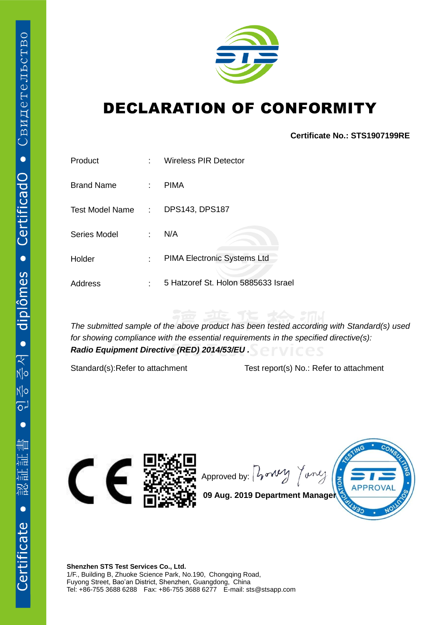

## DECLARATION OF CONFORMITY

**Certificate No.: STS1907199RE**

| Product           | ۰  | <b>Wireless PIR Detector</b>        |
|-------------------|----|-------------------------------------|
| <b>Brand Name</b> | ÷. | <b>PIMA</b>                         |
| Test Model Name:  |    | DPS143, DPS187                      |
| Series Model      | ÷  | N/A                                 |
| Holder            | ÷  | PIMA Electronic Systems Ltd         |
| <b>Address</b>    | ٠  | 5 Hatzoref St. Holon 5885633 Israel |

*The submitted sample of the above product has been tested according with Standard(s) used for showing compliance with the essential requirements in the specified directive(s): Radio Equipment Directive (RED) 2014/53/EU .*

Standard(s):Refer to attachment Test report(s) No.: Refer to attachment



Approved by:  $\int \sqrt{v^2 + v^2}$ Tonle



**09 Aug. 2019 Department Manager**

**Shenzhen STS Test Services Co., Ltd.** 1/F., Building B, Zhuoke Science Park, No.190, Chongqing Road, Fuyong Street, Bao'an District, Shenzhen, Guangdong, China Tel: +86-755 3688 6288 Fax: +86-755 3688 6277 E-mail: sts@stsapp.com